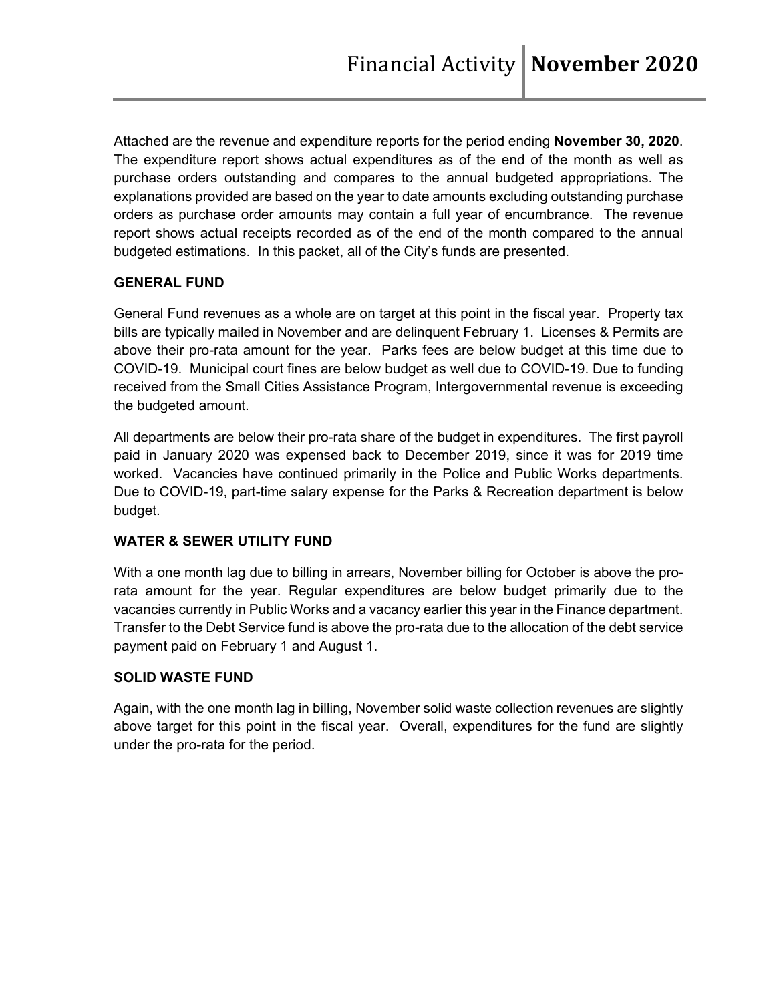Attached are the revenue and expenditure reports for the period ending **November 30, 2020**. The expenditure report shows actual expenditures as of the end of the month as well as purchase orders outstanding and compares to the annual budgeted appropriations. The explanations provided are based on the year to date amounts excluding outstanding purchase orders as purchase order amounts may contain a full year of encumbrance. The revenue report shows actual receipts recorded as of the end of the month compared to the annual budgeted estimations. In this packet, all of the City's funds are presented.

## **GENERAL FUND**

General Fund revenues as a whole are on target at this point in the fiscal year. Property tax bills are typically mailed in November and are delinquent February 1. Licenses & Permits are above their pro-rata amount for the year. Parks fees are below budget at this time due to COVID-19. Municipal court fines are below budget as well due to COVID-19. Due to funding received from the Small Cities Assistance Program, Intergovernmental revenue is exceeding the budgeted amount.

All departments are below their pro-rata share of the budget in expenditures. The first payroll paid in January 2020 was expensed back to December 2019, since it was for 2019 time worked. Vacancies have continued primarily in the Police and Public Works departments. Due to COVID-19, part-time salary expense for the Parks & Recreation department is below budget.

## **WATER & SEWER UTILITY FUND**

With a one month lag due to billing in arrears, November billing for October is above the prorata amount for the year. Regular expenditures are below budget primarily due to the vacancies currently in Public Works and a vacancy earlier this year in the Finance department. Transfer to the Debt Service fund is above the pro-rata due to the allocation of the debt service payment paid on February 1 and August 1.

## **SOLID WASTE FUND**

Again, with the one month lag in billing, November solid waste collection revenues are slightly above target for this point in the fiscal year. Overall, expenditures for the fund are slightly under the pro-rata for the period.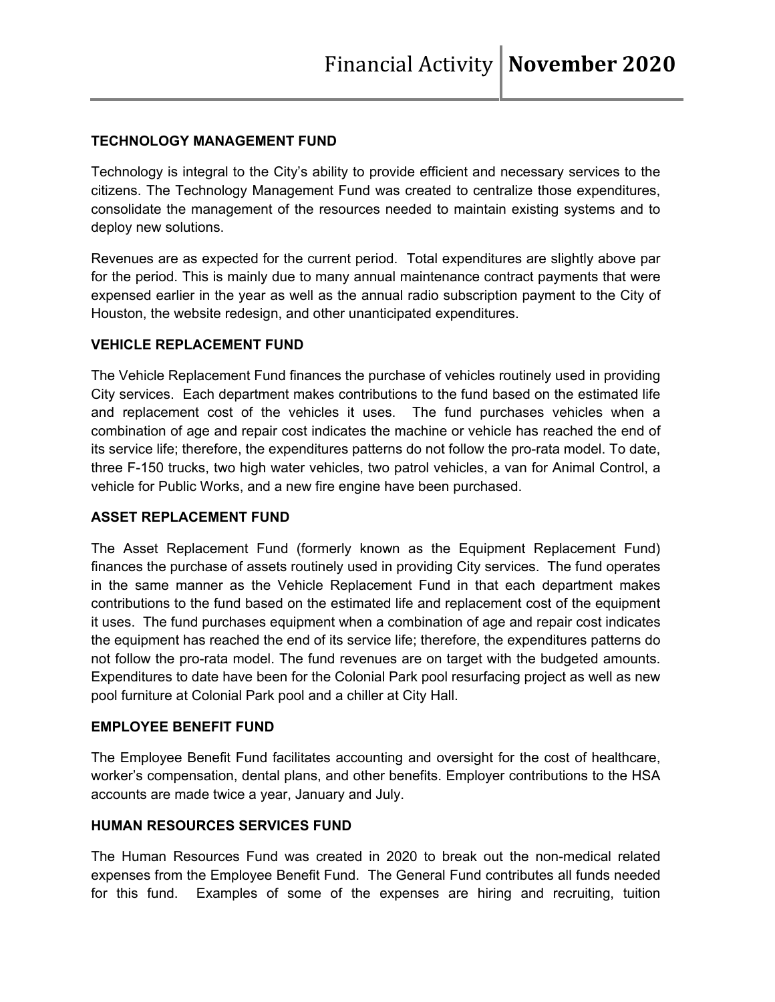# **TECHNOLOGY MANAGEMENT FUND**

Technology is integral to the City's ability to provide efficient and necessary services to the citizens. The Technology Management Fund was created to centralize those expenditures, consolidate the management of the resources needed to maintain existing systems and to deploy new solutions.

Revenues are as expected for the current period. Total expenditures are slightly above par for the period. This is mainly due to many annual maintenance contract payments that were expensed earlier in the year as well as the annual radio subscription payment to the City of Houston, the website redesign, and other unanticipated expenditures.

## **VEHICLE REPLACEMENT FUND**

The Vehicle Replacement Fund finances the purchase of vehicles routinely used in providing City services. Each department makes contributions to the fund based on the estimated life and replacement cost of the vehicles it uses. The fund purchases vehicles when a combination of age and repair cost indicates the machine or vehicle has reached the end of its service life; therefore, the expenditures patterns do not follow the pro-rata model. To date, three F-150 trucks, two high water vehicles, two patrol vehicles, a van for Animal Control, a vehicle for Public Works, and a new fire engine have been purchased.

## **ASSET REPLACEMENT FUND**

The Asset Replacement Fund (formerly known as the Equipment Replacement Fund) finances the purchase of assets routinely used in providing City services. The fund operates in the same manner as the Vehicle Replacement Fund in that each department makes contributions to the fund based on the estimated life and replacement cost of the equipment it uses. The fund purchases equipment when a combination of age and repair cost indicates the equipment has reached the end of its service life; therefore, the expenditures patterns do not follow the pro-rata model. The fund revenues are on target with the budgeted amounts. Expenditures to date have been for the Colonial Park pool resurfacing project as well as new pool furniture at Colonial Park pool and a chiller at City Hall.

### **EMPLOYEE BENEFIT FUND**

The Employee Benefit Fund facilitates accounting and oversight for the cost of healthcare, worker's compensation, dental plans, and other benefits. Employer contributions to the HSA accounts are made twice a year, January and July.

## **HUMAN RESOURCES SERVICES FUND**

The Human Resources Fund was created in 2020 to break out the non-medical related expenses from the Employee Benefit Fund. The General Fund contributes all funds needed for this fund. Examples of some of the expenses are hiring and recruiting, tuition